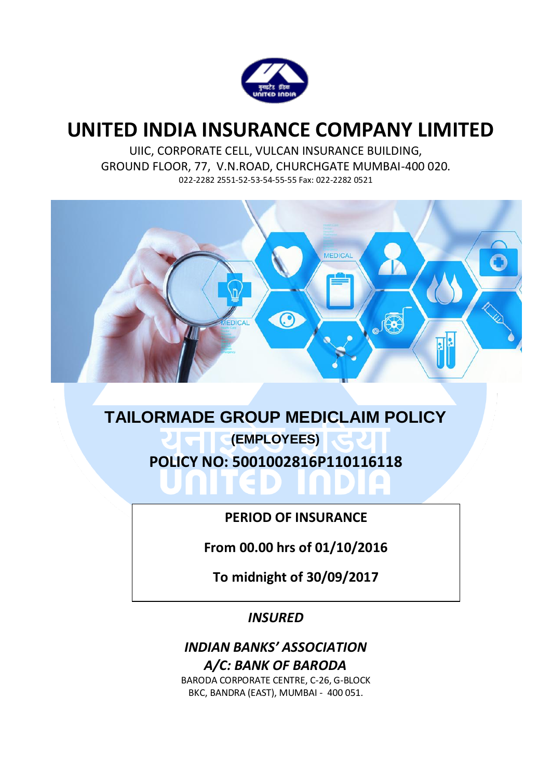

# **UNITED INDIA INSURANCE COMPANY LIMITED**

UIIC, CORPORATE CELL, VULCAN INSURANCE BUILDING, GROUND FLOOR, 77, V.N.ROAD, CHURCHGATE MUMBAI-400 020. 022-2282 2551-52-53-54-55-55 Fax: 022-2282 0521



**TAILORMADE GROUP MEDICLAIM POLICY (EMPLOYEES) POLICY NO: 5001002816P110116118** ۰

**PERIOD OF INSURANCE**

**From 00.00 hrs of 01/10/2016**

**To midnight of 30/09/2017**

*INSURED*

# *INDIAN BANKS' ASSOCIATION A/C: BANK OF BARODA*

BARODA CORPORATE CENTRE, C-26, G-BLOCK BKC, BANDRA (EAST), MUMBAI - 400 051.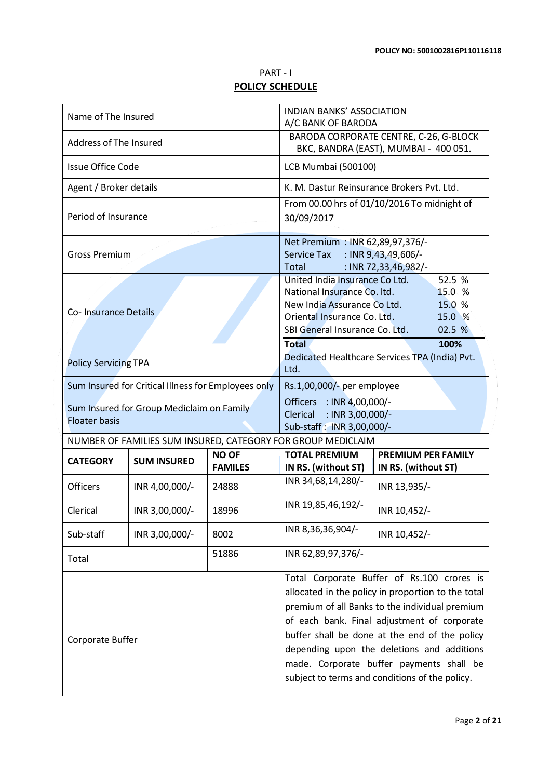## PART - I **POLICY SCHEDULE**

| Name of The Insured                                               |                                                     |                                | <b>INDIAN BANKS' ASSOCIATION</b><br>A/C BANK OF BARODA                                                                                                                                                                                                                                                                                                                                         |                                                  |  |
|-------------------------------------------------------------------|-----------------------------------------------------|--------------------------------|------------------------------------------------------------------------------------------------------------------------------------------------------------------------------------------------------------------------------------------------------------------------------------------------------------------------------------------------------------------------------------------------|--------------------------------------------------|--|
| Address of The Insured                                            |                                                     |                                | BARODA CORPORATE CENTRE, C-26, G-BLOCK<br>BKC, BANDRA (EAST), MUMBAI - 400 051.                                                                                                                                                                                                                                                                                                                |                                                  |  |
| <b>Issue Office Code</b>                                          |                                                     |                                | LCB Mumbai (500100)                                                                                                                                                                                                                                                                                                                                                                            |                                                  |  |
| Agent / Broker details                                            |                                                     |                                | K. M. Dastur Reinsurance Brokers Pvt. Ltd.                                                                                                                                                                                                                                                                                                                                                     |                                                  |  |
| Period of Insurance                                               |                                                     |                                | From 00.00 hrs of 01/10/2016 To midnight of<br>30/09/2017                                                                                                                                                                                                                                                                                                                                      |                                                  |  |
| <b>Gross Premium</b>                                              |                                                     |                                | Net Premium : INR 62,89,97,376/-<br>: INR $9,43,49,606/$ -<br>Service Tax<br>Total<br>: INR 72,33,46,982/-                                                                                                                                                                                                                                                                                     |                                                  |  |
| Co- Insurance Details                                             |                                                     |                                | 52.5 %<br>United India Insurance Co Ltd.<br>National Insurance Co. Itd.<br>15.0 %<br>New India Assurance Co Ltd.<br>15.0 %<br>Oriental Insurance Co. Ltd.<br>15.0 %<br>SBI General Insurance Co. Ltd.<br>02.5 %<br><b>Total</b><br>100%                                                                                                                                                        |                                                  |  |
| <b>Policy Servicing TPA</b>                                       |                                                     |                                | Dedicated Healthcare Services TPA (India) Pvt.<br>Ltd.                                                                                                                                                                                                                                                                                                                                         |                                                  |  |
|                                                                   | Sum Insured for Critical Illness for Employees only |                                | Rs.1,00,000/- per employee                                                                                                                                                                                                                                                                                                                                                                     |                                                  |  |
| Sum Insured for Group Mediclaim on Family<br><b>Floater basis</b> |                                                     |                                | Officers : INR 4,00,000/-<br>: INR 3,00,000/-<br>Clerical<br>Sub-staff: INR 3,00,000/-                                                                                                                                                                                                                                                                                                         |                                                  |  |
|                                                                   |                                                     |                                | NUMBER OF FAMILIES SUM INSURED, CATEGORY FOR GROUP MEDICLAIM                                                                                                                                                                                                                                                                                                                                   |                                                  |  |
| <b>CATEGORY</b>                                                   | <b>SUM INSURED</b>                                  | <b>NO OF</b><br><b>FAMILES</b> | <b>TOTAL PREMIUM</b><br>IN RS. (without ST)                                                                                                                                                                                                                                                                                                                                                    | <b>PREMIUM PER FAMILY</b><br>IN RS. (without ST) |  |
| <b>Officers</b>                                                   | INR 4,00,000/-                                      | 24888                          | INR 34,68,14,280/-                                                                                                                                                                                                                                                                                                                                                                             | INR 13,935/-                                     |  |
| Clerical                                                          | INR 3,00,000/-                                      | 18996                          | INR 19,85,46,192/-                                                                                                                                                                                                                                                                                                                                                                             | INR 10,452/-                                     |  |
| Sub-staff                                                         | INR 3,00,000/-                                      | 8002                           | INR 8,36,36,904/-                                                                                                                                                                                                                                                                                                                                                                              | INR 10,452/-                                     |  |
| Total                                                             |                                                     | 51886                          | INR 62,89,97,376/-                                                                                                                                                                                                                                                                                                                                                                             |                                                  |  |
| Corporate Buffer                                                  |                                                     |                                | Total Corporate Buffer of Rs.100 crores is<br>allocated in the policy in proportion to the total<br>premium of all Banks to the individual premium<br>of each bank. Final adjustment of corporate<br>buffer shall be done at the end of the policy<br>depending upon the deletions and additions<br>made. Corporate buffer payments shall be<br>subject to terms and conditions of the policy. |                                                  |  |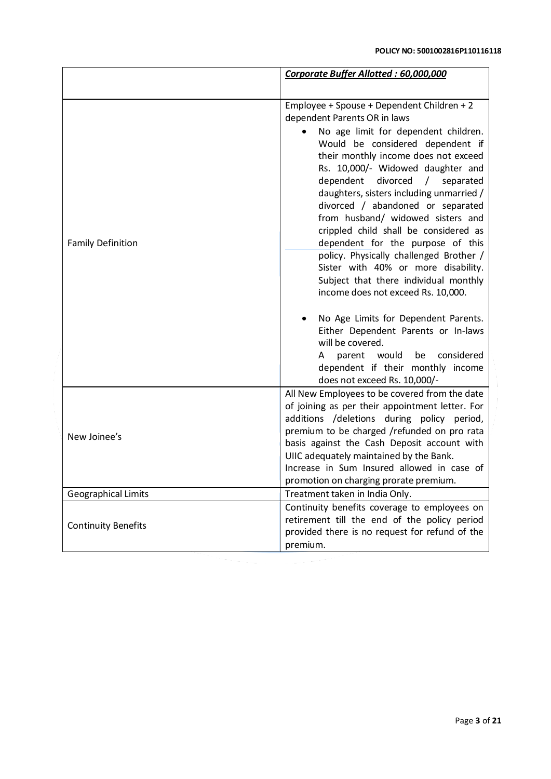|                            | Corporate Buffer Allotted: 60,000,000                                                                                                                                                                                                                                                                                                                                                                                                                                                                                                                                                                                                                                                                                                                                                                                          |  |
|----------------------------|--------------------------------------------------------------------------------------------------------------------------------------------------------------------------------------------------------------------------------------------------------------------------------------------------------------------------------------------------------------------------------------------------------------------------------------------------------------------------------------------------------------------------------------------------------------------------------------------------------------------------------------------------------------------------------------------------------------------------------------------------------------------------------------------------------------------------------|--|
|                            |                                                                                                                                                                                                                                                                                                                                                                                                                                                                                                                                                                                                                                                                                                                                                                                                                                |  |
| <b>Family Definition</b>   | Employee + Spouse + Dependent Children + 2<br>dependent Parents OR in laws<br>No age limit for dependent children.<br>Would be considered dependent if<br>their monthly income does not exceed<br>Rs. 10,000/- Widowed daughter and<br>dependent divorced / separated<br>daughters, sisters including unmarried /<br>divorced / abandoned or separated<br>from husband/ widowed sisters and<br>crippled child shall be considered as<br>dependent for the purpose of this<br>policy. Physically challenged Brother /<br>Sister with 40% or more disability.<br>Subject that there individual monthly<br>income does not exceed Rs. 10,000.<br>No Age Limits for Dependent Parents.<br>Either Dependent Parents or In-laws<br>will be covered.<br>considered<br>parent<br>would<br>be<br>A<br>dependent if their monthly income |  |
| New Joinee's               | does not exceed Rs. 10,000/-<br>All New Employees to be covered from the date<br>of joining as per their appointment letter. For<br>additions /deletions during policy period,<br>premium to be charged /refunded on pro rata<br>basis against the Cash Deposit account with<br>UIIC adequately maintained by the Bank.<br>Increase in Sum Insured allowed in case of                                                                                                                                                                                                                                                                                                                                                                                                                                                          |  |
|                            | promotion on charging prorate premium.                                                                                                                                                                                                                                                                                                                                                                                                                                                                                                                                                                                                                                                                                                                                                                                         |  |
| <b>Geographical Limits</b> | Treatment taken in India Only.                                                                                                                                                                                                                                                                                                                                                                                                                                                                                                                                                                                                                                                                                                                                                                                                 |  |
| <b>Continuity Benefits</b> | Continuity benefits coverage to employees on<br>retirement till the end of the policy period<br>provided there is no request for refund of the<br>premium.                                                                                                                                                                                                                                                                                                                                                                                                                                                                                                                                                                                                                                                                     |  |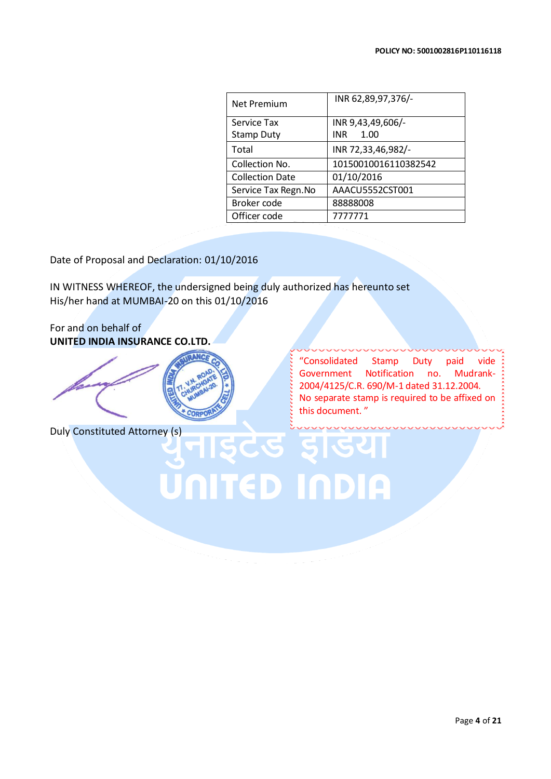| <b>Net Premium</b>     | INR 62,89,97,376/-   |  |  |
|------------------------|----------------------|--|--|
| Service Tax            | INR 9,43,49,606/-    |  |  |
| <b>Stamp Duty</b>      | INR.<br>1.00         |  |  |
| Total                  | INR 72,33,46,982/-   |  |  |
| Collection No.         | 10150010016110382542 |  |  |
| <b>Collection Date</b> | 01/10/2016           |  |  |
| Service Tax Regn. No   | AAACU5552CST001      |  |  |
| Broker code            | 88888008             |  |  |
| Officer code           | 777771               |  |  |

Date of Proposal and Declaration: 01/10/2016

IN WITNESS WHEREOF, the undersigned being duly authorized has hereunto set His/her hand at MUMBAI-20 on this 01/10/2016

UNITED INDIA

For and on behalf of **UNITED INDIA INSURANCE CO.LTD.**



Duly Constituted Attorney (s)

"Consolidated Stamp Duty paid vide Government Notification no. Mudrank-2004/4125/C.R. 690/M-1 dated 31.12.2004. No separate stamp is required to be affixed on this document. "

Page **4** of **21**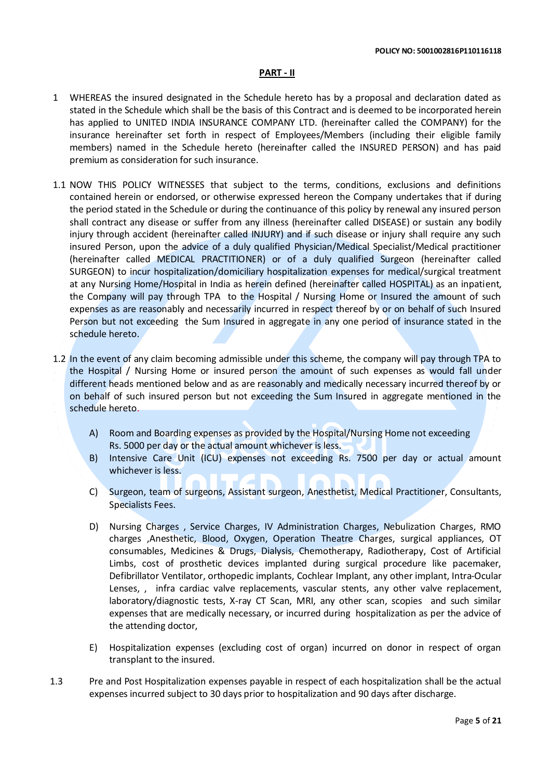### **PART - II**

- 1 WHEREAS the insured designated in the Schedule hereto has by a proposal and declaration dated as stated in the Schedule which shall be the basis of this Contract and is deemed to be incorporated herein has applied to UNITED INDIA INSURANCE COMPANY LTD. (hereinafter called the COMPANY) for the insurance hereinafter set forth in respect of Employees/Members (including their eligible family members) named in the Schedule hereto (hereinafter called the INSURED PERSON) and has paid premium as consideration for such insurance.
- 1.1 NOW THIS POLICY WITNESSES that subject to the terms, conditions, exclusions and definitions contained herein or endorsed, or otherwise expressed hereon the Company undertakes that if during the period stated in the Schedule or during the continuance of this policy by renewal any insured person shall contract any disease or suffer from any illness (hereinafter called DISEASE) or sustain any bodily injury through accident (hereinafter called INJURY) and if such disease or injury shall require any such insured Person, upon the advice of a duly qualified Physician/Medical Specialist/Medical practitioner (hereinafter called MEDICAL PRACTITIONER) or of a duly qualified Surgeon (hereinafter called SURGEON) to incur hospitalization/domiciliary hospitalization expenses for medical/surgical treatment at any Nursing Home/Hospital in India as herein defined (hereinafter called HOSPITAL) as an inpatient, the Company will pay through TPA to the Hospital / Nursing Home or Insured the amount of such expenses as are reasonably and necessarily incurred in respect thereof by or on behalf of such Insured Person but not exceeding the Sum Insured in aggregate in any one period of insurance stated in the schedule hereto.
- 1.2 In the event of any claim becoming admissible under this scheme, the company will pay through TPA to the Hospital / Nursing Home or insured person the amount of such expenses as would fall under different heads mentioned below and as are reasonably and medically necessary incurred thereof by or on behalf of such insured person but not exceeding the Sum Insured in aggregate mentioned in the schedule hereto.
	- A) Room and Boarding expenses as provided by the Hospital/Nursing Home not exceeding Rs. 5000 per day or the actual amount whichever is less.
	- B) Intensive Care Unit (ICU) expenses not exceeding Rs. 7500 per day or actual amount whichever is less.
	- C) Surgeon, team of surgeons, Assistant surgeon, Anesthetist, Medical Practitioner, Consultants, Specialists Fees.
	- D) Nursing Charges , Service Charges, IV Administration Charges, Nebulization Charges, RMO charges ,Anesthetic, Blood, Oxygen, Operation Theatre Charges, surgical appliances, OT consumables, Medicines & Drugs, Dialysis, Chemotherapy, Radiotherapy, Cost of Artificial Limbs, cost of prosthetic devices implanted during surgical procedure like pacemaker, Defibrillator Ventilator, orthopedic implants, Cochlear Implant, any other implant, Intra-Ocular Lenses, , infra cardiac valve replacements, vascular stents, any other valve replacement, laboratory/diagnostic tests, X-ray CT Scan, MRI, any other scan, scopies and such similar expenses that are medically necessary, or incurred during hospitalization as per the advice of the attending doctor,
	- E) Hospitalization expenses (excluding cost of organ) incurred on donor in respect of organ transplant to the insured.
- 1.3 Pre and Post Hospitalization expenses payable in respect of each hospitalization shall be the actual expenses incurred subject to 30 days prior to hospitalization and 90 days after discharge.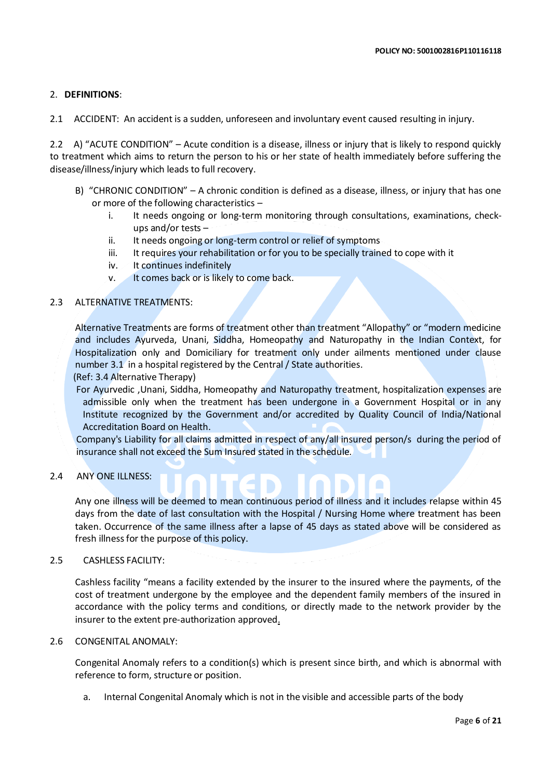### 2. **DEFINITIONS**:

2.1 ACCIDENT: An accident is a sudden, unforeseen and involuntary event caused resulting in injury.

2.2 A) "ACUTE CONDITION" – Acute condition is a disease, illness or injury that is likely to respond quickly to treatment which aims to return the person to his or her state of health immediately before suffering the disease/illness/injury which leads to full recovery.

- B) "CHRONIC CONDITION" A chronic condition is defined as a disease, illness, or injury that has one or more of the following characteristics –
	- i. It needs ongoing or long-term monitoring through consultations, examinations, checkups and/or tests –
	- ii. It needs ongoing or long-term control or relief of symptoms
	- iii. It requires your rehabilitation or for you to be specially trained to cope with it
	- iv. It continues indefinitely
	- v. It comes back or is likely to come back.

### 2.3 ALTERNATIVE TREATMENTS:

Alternative Treatments are forms of treatment other than treatment "Allopathy" or "modern medicine and includes Ayurveda, Unani, Siddha, Homeopathy and Naturopathy in the Indian Context, for Hospitalization only and Domiciliary for treatment only under ailments mentioned under clause number 3.1 in a hospital registered by the Central / State authorities.

(Ref: 3.4 Alternative Therapy)

 For Ayurvedic ,Unani, Siddha, Homeopathy and Naturopathy treatment, hospitalization expenses are admissible only when the treatment has been undergone in a Government Hospital or in any Institute recognized by the Government and/or accredited by Quality Council of India/National Accreditation Board on Health.

Company's Liability for all claims admitted in respect of any/all insured person/s during the period of insurance shall not exceed the Sum Insured stated in the schedule.

۰

2.4 ANY ONE ILLNESS:

Any one illness will be deemed to mean continuous period of illness and it includes relapse within 45 days from the date of last consultation with the Hospital / Nursing Home where treatment has been taken. Occurrence of the same illness after a lapse of 45 days as stated above will be considered as fresh illness for the purpose of this policy.

### 2.5 CASHLESS FACILITY:

Cashless facility "means a facility extended by the insurer to the insured where the payments, of the cost of treatment undergone by the employee and the dependent family members of the insured in accordance with the policy terms and conditions, or directly made to the network provider by the insurer to the extent pre-authorization approved.

### 2.6 CONGENITAL ANOMALY:

Congenital Anomaly refers to a condition(s) which is present since birth, and which is abnormal with reference to form, structure or position.

a. Internal Congenital Anomaly which is not in the visible and accessible parts of the body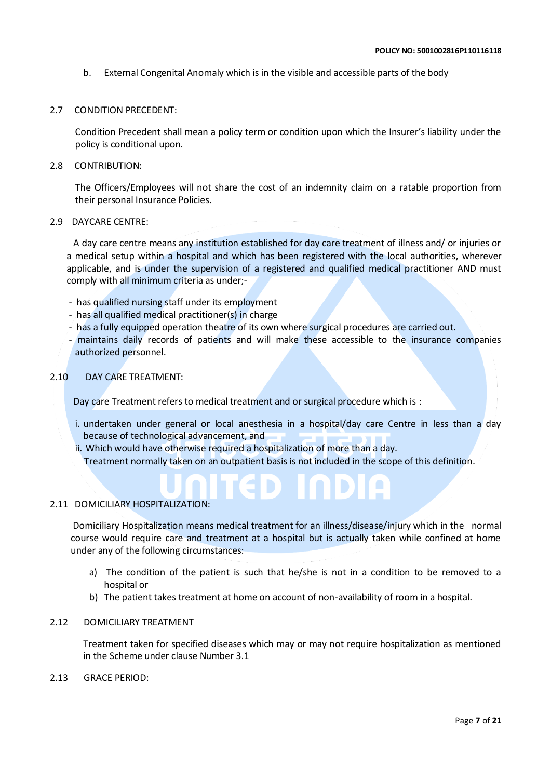b. External Congenital Anomaly which is in the visible and accessible parts of the body

### 2.7 CONDITION PRECEDENT:

Condition Precedent shall mean a policy term or condition upon which the Insurer's liability under the policy is conditional upon.

### 2.8 CONTRIBUTION:

The Officers/Employees will not share the cost of an indemnity claim on a ratable proportion from their personal Insurance Policies.

### 2.9 DAYCARE CENTRE:

 A day care centre means any institution established for day care treatment of illness and/ or injuries or a medical setup within a hospital and which has been registered with the local authorities, wherever applicable, and is under the supervision of a registered and qualified medical practitioner AND must comply with all minimum criteria as under;-

- has qualified nursing staff under its employment
- has all qualified medical practitioner(s) in charge
- has a fully equipped operation theatre of its own where surgical procedures are carried out.
- maintains daily records of patients and will make these accessible to the insurance companies authorized personnel.

### 2.10 DAY CARE TREATMENT:

Day care Treatment refers to medical treatment and or surgical procedure which is :

- i. undertaken under general or local anesthesia in a hospital/day care Centre in less than a day because of technological advancement, and
- ii. Which would have otherwise required a hospitalization of more than a day. Treatment normally taken on an outpatient basis is not included in the scope of this definition.

### 2.11 DOMICILIARY HOSPITALIZATION:

Domiciliary Hospitalization means medical treatment for an illness/disease/injury which in the normal course would require care and treatment at a hospital but is actually taken while confined at home under any of the following circumstances:

- a) The condition of the patient is such that he/she is not in a condition to be removed to a hospital or
- b) The patient takes treatment at home on account of non-availability of room in a hospital.
- 2.12 DOMICILIARY TREATMENT

Treatment taken for specified diseases which may or may not require hospitalization as mentioned in the Scheme under clause Number 3.1

2.13 GRACE PERIOD: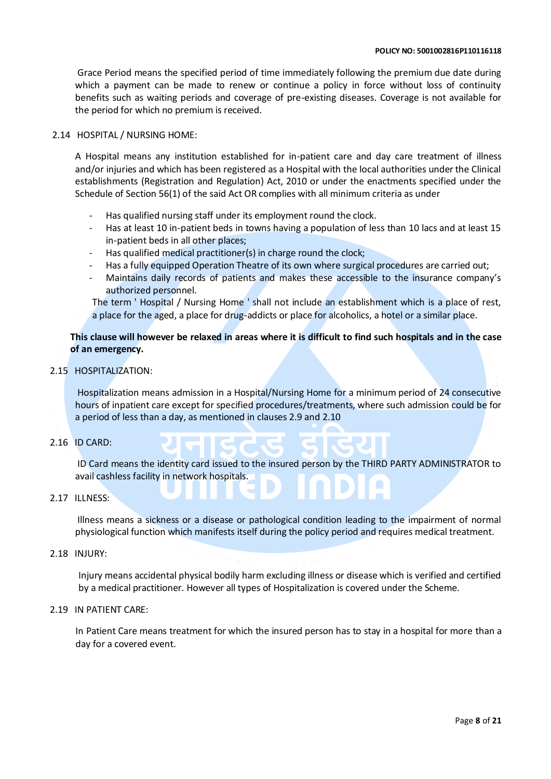Grace Period means the specified period of time immediately following the premium due date during which a payment can be made to renew or continue a policy in force without loss of continuity benefits such as waiting periods and coverage of pre-existing diseases. Coverage is not available for the period for which no premium is received.

### 2.14 HOSPITAL / NURSING HOME:

A Hospital means any institution established for in-patient care and day care treatment of illness and/or injuries and which has been registered as a Hospital with the local authorities under the Clinical establishments (Registration and Regulation) Act, 2010 or under the enactments specified under the Schedule of Section 56(1) of the said Act OR complies with all minimum criteria as under

- Has qualified nursing staff under its employment round the clock.
- Has at least 10 in-patient beds in towns having a population of less than 10 lacs and at least 15 in-patient beds in all other places;
- Has qualified medical practitioner(s) in charge round the clock;
- Has a fully equipped Operation Theatre of its own where surgical procedures are carried out;
- Maintains daily records of patients and makes these accessible to the insurance company's authorized personnel.

The term ' Hospital / Nursing Home ' shall not include an establishment which is a place of rest, a place for the aged, a place for drug-addicts or place for alcoholics, a hotel or a similar place.

### **This clause will however be relaxed in areas where it is difficult to find such hospitals and in the case of an emergency.**

### 2.15 HOSPITALIZATION:

Hospitalization means admission in a Hospital/Nursing Home for a minimum period of 24 consecutive hours of inpatient care except for specified procedures/treatments, where such admission could be for a period of less than a day, as mentioned in clauses 2.9 and 2.10

### 2.16 ID CARD:

ID Card means the identity card issued to the insured person by the THIRD PARTY ADMINISTRATOR to avail cashless facility in network hospitals.

### 2.17 ILLNESS:

Illness means a sickness or a disease or pathological condition leading to the impairment of normal physiological function which manifests itself during the policy period and requires medical treatment.

### 2.18 INJURY:

Injury means accidental physical bodily harm excluding illness or disease which is verified and certified by a medical practitioner. However all types of Hospitalization is covered under the Scheme.

### 2.19 IN PATIENT CARE:

In Patient Care means treatment for which the insured person has to stay in a hospital for more than a day for a covered event.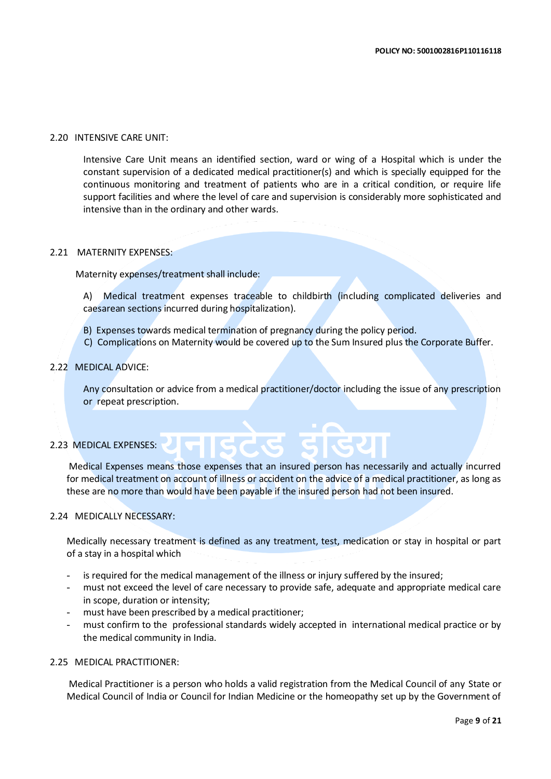### 2.20 INTENSIVE CARE UNIT:

Intensive Care Unit means an identified section, ward or wing of a Hospital which is under the constant supervision of a dedicated medical practitioner(s) and which is specially equipped for the continuous monitoring and treatment of patients who are in a critical condition, or require life support facilities and where the level of care and supervision is considerably more sophisticated and intensive than in the ordinary and other wards.

### 2.21 MATERNITY EXPENSES:

Maternity expenses/treatment shall include:

A) Medical treatment expenses traceable to childbirth (including complicated deliveries and caesarean sections incurred during hospitalization).

- B) Expenses towards medical termination of pregnancy during the policy period.
- C) Complications on Maternity would be covered up to the Sum Insured plus the Corporate Buffer.

### 2.22 MEDICAL ADVICE:

Any consultation or advice from a medical practitioner/doctor including the issue of any prescription or repeat prescription.

### 2.23 MEDICAL EXPENSES:

Medical Expenses means those expenses that an insured person has necessarily and actually incurred for medical treatment on account of illness or accident on the advice of a medical practitioner, as long as these are no more than would have been payable if the insured person had not been insured.

### 2.24 MEDICALLY NECESSARY:

Medically necessary treatment is defined as any treatment, test, medication or stay in hospital or part of a stay in a hospital which

- is required for the medical management of the illness or injury suffered by the insured;
- must not exceed the level of care necessary to provide safe, adequate and appropriate medical care in scope, duration or intensity;
- must have been prescribed by a medical practitioner;
- must confirm to the professional standards widely accepted in international medical practice or by the medical community in India.

### 2.25 MEDICAL PRACTITIONER:

Medical Practitioner is a person who holds a valid registration from the Medical Council of any State or Medical Council of India or Council for Indian Medicine or the homeopathy set up by the Government of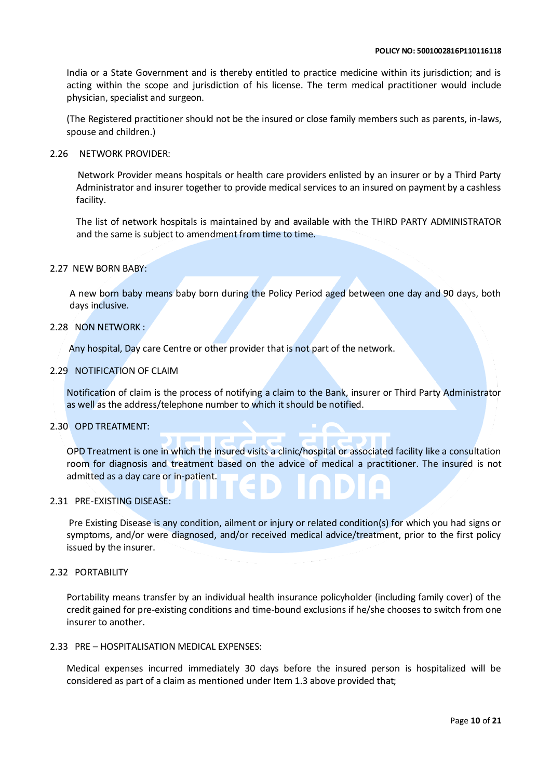India or a State Government and is thereby entitled to practice medicine within its jurisdiction; and is acting within the scope and jurisdiction of his license. The term medical practitioner would include physician, specialist and surgeon.

(The Registered practitioner should not be the insured or close family members such as parents, in-laws, spouse and children.)

2.26 NETWORK PROVIDER:

 Network Provider means hospitals or health care providers enlisted by an insurer or by a Third Party Administrator and insurer together to provide medical services to an insured on payment by a cashless facility.

The list of network hospitals is maintained by and available with the THIRD PARTY ADMINISTRATOR and the same is subject to amendment from time to time.

### 2.27 NEW BORN BABY:

A new born baby means baby born during the Policy Period aged between one day and 90 days, both days inclusive.

### 2.28 NON NETWORK :

Any hospital, Day care Centre or other provider that is not part of the network.

### 2.29 NOTIFICATION OF CLAIM

Notification of claim is the process of notifying a claim to the Bank, insurer or Third Party Administrator as well as the address/telephone number to which it should be notified.

### 2.30 OPD TREATMENT:

OPD Treatment is one in which the insured visits a clinic/hospital or associated facility like a consultation room for diagnosis and treatment based on the advice of medical a practitioner. The insured is not admitted as a day care or in-patient.

### 2.31 PRE-EXISTING DISEASE:

Pre Existing Disease is any condition, ailment or injury or related condition(s) for which you had signs or symptoms, and/or were diagnosed, and/or received medical advice/treatment, prior to the first policy issued by the insurer.

### 2.32 PORTABILITY

Portability means transfer by an individual health insurance policyholder (including family cover) of the credit gained for pre-existing conditions and time-bound exclusions if he/she chooses to switch from one insurer to another.

### 2.33 PRE – HOSPITALISATION MEDICAL EXPENSES:

Medical expenses incurred immediately 30 days before the insured person is hospitalized will be considered as part of a claim as mentioned under Item 1.3 above provided that;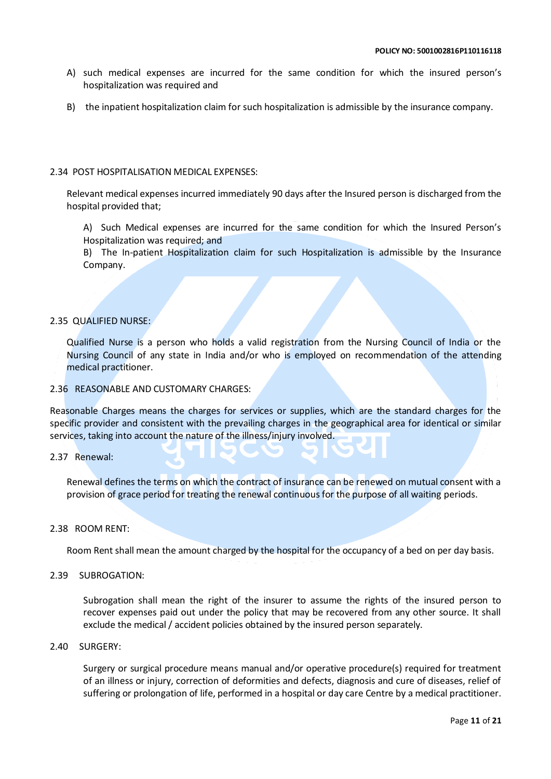- A) such medical expenses are incurred for the same condition for which the insured person's hospitalization was required and
- B) the inpatient hospitalization claim for such hospitalization is admissible by the insurance company.

### 2.34 POST HOSPITALISATION MEDICAL EXPENSES:

Relevant medical expenses incurred immediately 90 days after the Insured person is discharged from the hospital provided that;

A) Such Medical expenses are incurred for the same condition for which the Insured Person's Hospitalization was required; and

B) The In-patient Hospitalization claim for such Hospitalization is admissible by the Insurance Company.

### 2.35 QUALIFIED NURSE:

Qualified Nurse is a person who holds a valid registration from the Nursing Council of India or the Nursing Council of any state in India and/or who is employed on recommendation of the attending medical practitioner.

### 2.36 REASONABLE AND CUSTOMARY CHARGES:

Reasonable Charges means the charges for services or supplies, which are the standard charges for the specific provider and consistent with the prevailing charges in the geographical area for identical or similar services, taking into account the nature of the illness/injury involved.

### 2.37 Renewal:

Renewal defines the terms on which the contract of insurance can be renewed on mutual consent with a provision of grace period for treating the renewal continuous for the purpose of all waiting periods.

### 2.38 ROOM RENT:

Room Rent shall mean the amount charged by the hospital for the occupancy of a bed on per day basis.

### 2.39 SUBROGATION:

Subrogation shall mean the right of the insurer to assume the rights of the insured person to recover expenses paid out under the policy that may be recovered from any other source. It shall exclude the medical / accident policies obtained by the insured person separately.

### 2.40 SURGERY:

Surgery or surgical procedure means manual and/or operative procedure(s) required for treatment of an illness or injury, correction of deformities and defects, diagnosis and cure of diseases, relief of suffering or prolongation of life, performed in a hospital or day care Centre by a medical practitioner.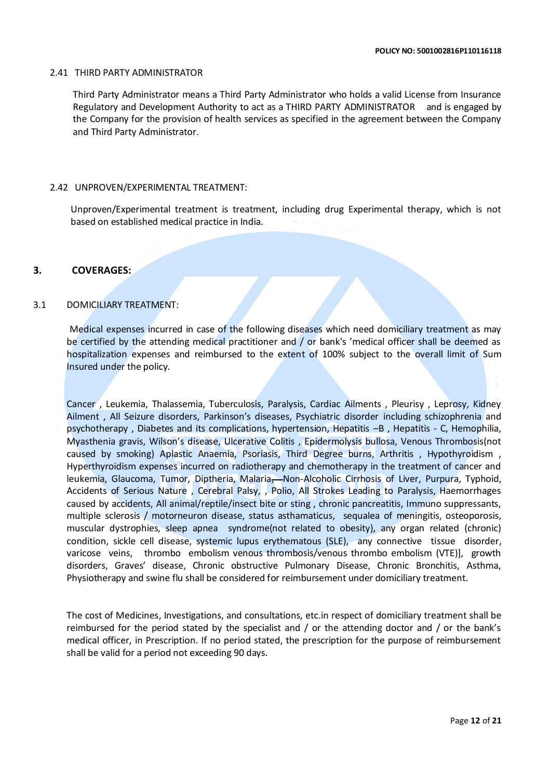### 2.41 THIRD PARTY ADMINISTRATOR

Third Party Administrator means a Third Party Administrator who holds a valid License from Insurance Regulatory and Development Authority to act as a THIRD PARTY ADMINISTRATOR and is engaged by the Company for the provision of health services as specified in the agreement between the Company and Third Party Administrator.

### 2.42 UNPROVEN/EXPERIMENTAL TREATMENT:

Unproven/Experimental treatment is treatment, including drug Experimental therapy, which is not based on established medical practice in India.

### **3. COVERAGES:**

### 3.1 DOMICILIARY TREATMENT:

 Medical expenses incurred in case of the following diseases which need domiciliary treatment as may be certified by the attending medical practitioner and / or bank's 'medical officer shall be deemed as hospitalization expenses and reimbursed to the extent of 100% subject to the overall limit of Sum Insured under the policy.

Cancer , Leukemia, Thalassemia, Tuberculosis, Paralysis, Cardiac Ailments , Pleurisy , Leprosy, Kidney Ailment , All Seizure disorders, Parkinson's diseases, Psychiatric disorder including schizophrenia and psychotherapy , Diabetes and its complications, hypertension, Hepatitis –B , Hepatitis - C, Hemophilia, Myasthenia gravis, Wilson's disease, Ulcerative Colitis , Epidermolysis bullosa, Venous Thrombosis(not caused by smoking) Aplastic Anaemia, Psoriasis, Third Degree burns, Arthritis , Hypothyroidism , Hyperthyroidism expenses incurred on radiotherapy and chemotherapy in the treatment of cancer and leukemia, Glaucoma, Tumor, Diptheria, Malaria, Non-Alcoholic Cirrhosis of Liver, Purpura, Typhoid, Accidents of Serious Nature , Cerebral Palsy, , Polio, All Strokes Leading to Paralysis, Haemorrhages caused by accidents, All animal/reptile/insect bite or sting , chronic pancreatitis, Immuno suppressants, multiple sclerosis / motorneuron disease, status asthamaticus, sequalea of meningitis, osteoporosis, muscular dystrophies, sleep apnea syndrome(not related to obesity), any organ related (chronic) condition, sickle cell disease, systemic lupus erythematous (SLE), any connective tissue disorder, varicose veins, thrombo embolism venous thrombosis/venous thrombo embolism (VTE)], growth disorders, Graves' disease, Chronic obstructive Pulmonary Disease, Chronic Bronchitis, Asthma, Physiotherapy and swine flu shall be considered for reimbursement under domiciliary treatment.

The cost of Medicines, Investigations, and consultations, etc.in respect of domiciliary treatment shall be reimbursed for the period stated by the specialist and / or the attending doctor and / or the bank's medical officer, in Prescription. If no period stated, the prescription for the purpose of reimbursement shall be valid for a period not exceeding 90 days.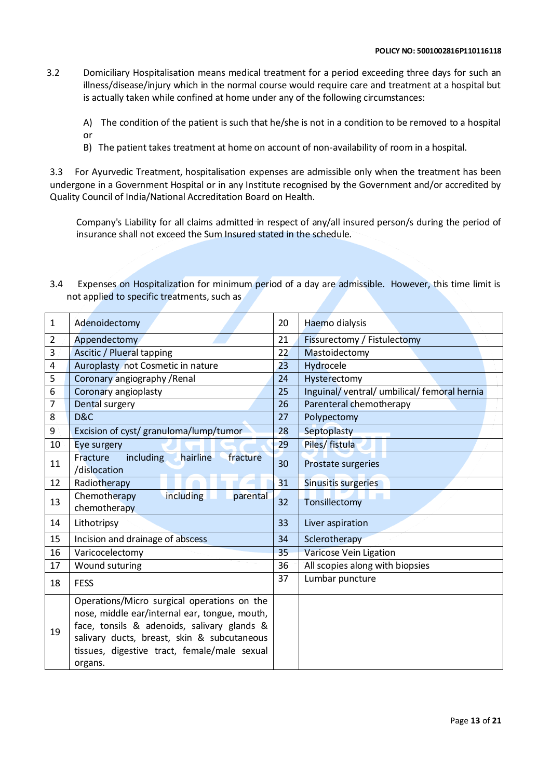3.2 Domiciliary Hospitalisation means medical treatment for a period exceeding three days for such an illness/disease/injury which in the normal course would require care and treatment at a hospital but is actually taken while confined at home under any of the following circumstances:

A) The condition of the patient is such that he/she is not in a condition to be removed to a hospital or

B) The patient takes treatment at home on account of non-availability of room in a hospital.

3.3 For Ayurvedic Treatment, hospitalisation expenses are admissible only when the treatment has been undergone in a Government Hospital or in any Institute recognised by the Government and/or accredited by Quality Council of India/National Accreditation Board on Health.

Company's Liability for all claims admitted in respect of any/all insured person/s during the period of insurance shall not exceed the Sum Insured stated in the schedule.

3.4 Expenses on Hospitalization for minimum period of a day are admissible. However, this time limit is not applied to specific treatments, such as

| $\mathbf 1$    | Adenoidectomy                                                                                                                                                                                                                                         | 20 | Haemo dialysis                            |  |
|----------------|-------------------------------------------------------------------------------------------------------------------------------------------------------------------------------------------------------------------------------------------------------|----|-------------------------------------------|--|
| $\overline{2}$ | Appendectomy                                                                                                                                                                                                                                          |    | Fissurectomy / Fistulectomy               |  |
| 3              | Ascitic / Plueral tapping                                                                                                                                                                                                                             |    | Mastoidectomy                             |  |
| 4              | Auroplasty not Cosmetic in nature                                                                                                                                                                                                                     | 23 | Hydrocele                                 |  |
| 5              | Coronary angiography / Renal                                                                                                                                                                                                                          | 24 | Hysterectomy                              |  |
| 6              | Coronary angioplasty                                                                                                                                                                                                                                  | 25 | Inguinal/ventral/umbilical/femoral hernia |  |
| 7              | Dental surgery                                                                                                                                                                                                                                        | 26 | Parenteral chemotherapy                   |  |
| 8              | D&C                                                                                                                                                                                                                                                   |    | Polypectomy                               |  |
| 9              | Excision of cyst/ granuloma/lump/tumor                                                                                                                                                                                                                |    | Septoplasty                               |  |
| 10             | Eye surgery                                                                                                                                                                                                                                           | 29 | Piles/ fistula                            |  |
| 11             | hairline<br>fracture<br><i>including</i><br>Fracture<br>/dislocation                                                                                                                                                                                  | 30 | Prostate surgeries                        |  |
| 12             | Radiotherapy                                                                                                                                                                                                                                          | 31 | <b>Sinusitis surgeries</b>                |  |
| 13             | <b>including</b><br>Chemotherapy<br>parental<br>chemotherapy                                                                                                                                                                                          | 32 | Tonsillectomy                             |  |
| 14             | Lithotripsy                                                                                                                                                                                                                                           |    | Liver aspiration                          |  |
| 15             | Incision and drainage of abscess                                                                                                                                                                                                                      |    | Sclerotherapy                             |  |
| 16             | Varicocelectomy                                                                                                                                                                                                                                       |    | Varicose Vein Ligation                    |  |
| 17             | Wound suturing                                                                                                                                                                                                                                        |    | All scopies along with biopsies           |  |
| 18             | <b>FESS</b>                                                                                                                                                                                                                                           |    | Lumbar puncture                           |  |
| 19             | Operations/Micro surgical operations on the<br>nose, middle ear/internal ear, tongue, mouth,<br>face, tonsils & adenoids, salivary glands &<br>salivary ducts, breast, skin & subcutaneous<br>tissues, digestive tract, female/male sexual<br>organs. |    |                                           |  |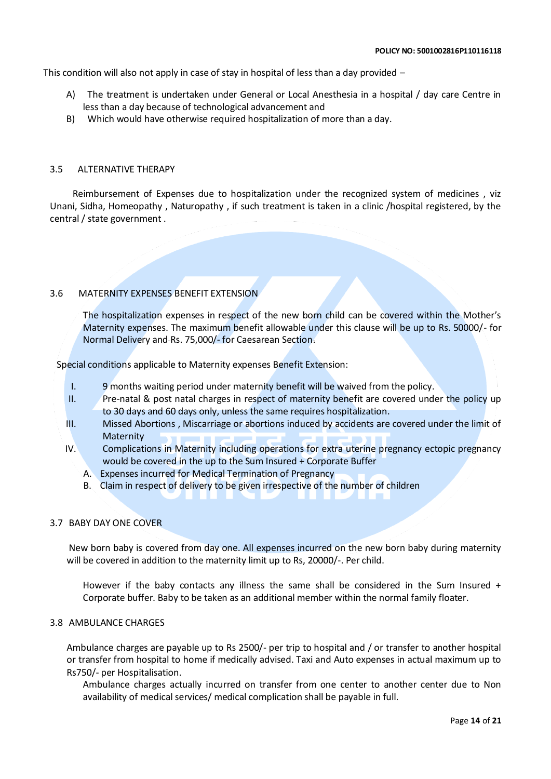This condition will also not apply in case of stay in hospital of less than a day provided –

- A) The treatment is undertaken under General or Local Anesthesia in a hospital / day care Centre in less than a day because of technological advancement and
- B) Which would have otherwise required hospitalization of more than a day.

### 3.5 ALTERNATIVE THERAPY

 Reimbursement of Expenses due to hospitalization under the recognized system of medicines , viz Unani, Sidha, Homeopathy , Naturopathy , if such treatment is taken in a clinic /hospital registered, by the central / state government .

### 3.6 MATERNITY EXPENSES BENEFIT EXTENSION

The hospitalization expenses in respect of the new born child can be covered within the Mother's Maternity expenses. The maximum benefit allowable under this clause will be up to Rs. 50000/- for Normal Delivery and Rs. 75,000/- for Caesarean Section.

Special conditions applicable to Maternity expenses Benefit Extension:

- I. 9 months waiting period under maternity benefit will be waived from the policy.
- II. Pre-natal & post natal charges in respect of maternity benefit are covered under the policy up to 30 days and 60 days only, unless the same requires hospitalization.
- III. Missed Abortions , Miscarriage or abortions induced by accidents are covered under the limit of Maternity
- IV. Complications in Maternity including operations for extra uterine pregnancy ectopic pregnancy would be covered in the up to the Sum Insured + Corporate Buffer
	- A. Expenses incurred for Medical Termination of Pregnancy
	- B. Claim in respect of delivery to be given irrespective of the number of children

### 3.7 BABY DAY ONE COVER

New born baby is covered from day one. All expenses incurred on the new born baby during maternity will be covered in addition to the maternity limit up to Rs, 20000/-. Per child.

However if the baby contacts any illness the same shall be considered in the Sum Insured + Corporate buffer. Baby to be taken as an additional member within the normal family floater.

### 3.8 AMBULANCE CHARGES

Ambulance charges are payable up to Rs 2500/- per trip to hospital and / or transfer to another hospital or transfer from hospital to home if medically advised. Taxi and Auto expenses in actual maximum up to Rs750/- per Hospitalisation.

Ambulance charges actually incurred on transfer from one center to another center due to Non availability of medical services/ medical complication shall be payable in full.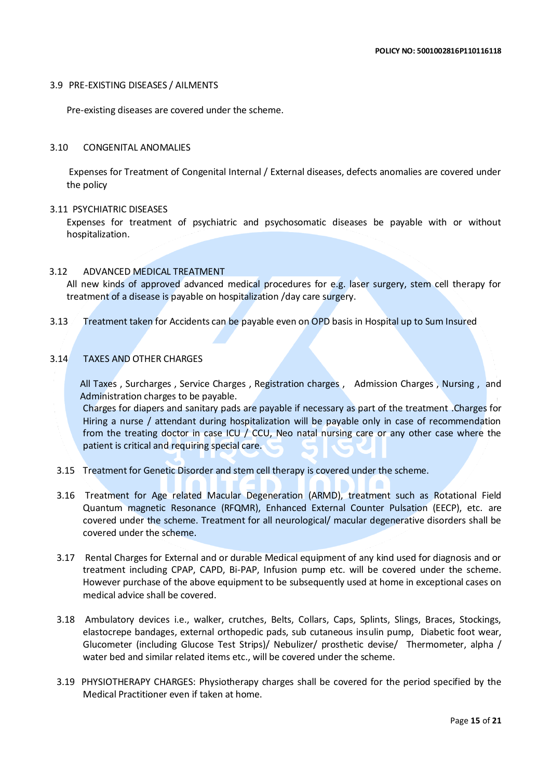### 3.9 PRE-EXISTING DISEASES / AILMENTS

Pre-existing diseases are covered under the scheme.

### 3.10 CONGENITAL ANOMALIES

Expenses for Treatment of Congenital Internal / External diseases, defects anomalies are covered under the policy

### 3.11 PSYCHIATRIC DISEASES

Expenses for treatment of psychiatric and psychosomatic diseases be payable with or without hospitalization.

### 3.12 ADVANCED MEDICAL TREATMENT

All new kinds of approved advanced medical procedures for e.g. laser surgery, stem cell therapy for treatment of a disease is payable on hospitalization /day care surgery.

3.13 Treatment taken for Accidents can be payable even on OPD basis in Hospital up to Sum Insured

### 3.14 TAXES AND OTHER CHARGES

All Taxes , Surcharges , Service Charges , Registration charges , Admission Charges , Nursing , and Administration charges to be payable.

Charges for diapers and sanitary pads are payable if necessary as part of the treatment .Charges for Hiring a nurse / attendant during hospitalization will be payable only in case of recommendation from the treating doctor in case ICU / CCU, Neo natal nursing care or any other case where the patient is critical and requiring special care.

- 3.15 Treatment for Genetic Disorder and stem cell therapy is covered under the scheme.
- 3.16 Treatment for Age related Macular Degeneration (ARMD), treatment such as Rotational Field Quantum magnetic Resonance (RFQMR), Enhanced External Counter Pulsation (EECP), etc. are covered under the scheme. Treatment for all neurological/ macular degenerative disorders shall be covered under the scheme.
- 3.17 Rental Charges for External and or durable Medical equipment of any kind used for diagnosis and or treatment including CPAP, CAPD, Bi-PAP, Infusion pump etc. will be covered under the scheme. However purchase of the above equipment to be subsequently used at home in exceptional cases on medical advice shall be covered.
- 3.18 Ambulatory devices i.e., walker, crutches, Belts, Collars, Caps, Splints, Slings, Braces, Stockings, elastocrepe bandages, external orthopedic pads, sub cutaneous insulin pump, Diabetic foot wear, Glucometer (including Glucose Test Strips)/ Nebulizer/ prosthetic devise/ Thermometer, alpha / water bed and similar related items etc., will be covered under the scheme.
- 3.19 PHYSIOTHERAPY CHARGES: Physiotherapy charges shall be covered for the period specified by the Medical Practitioner even if taken at home.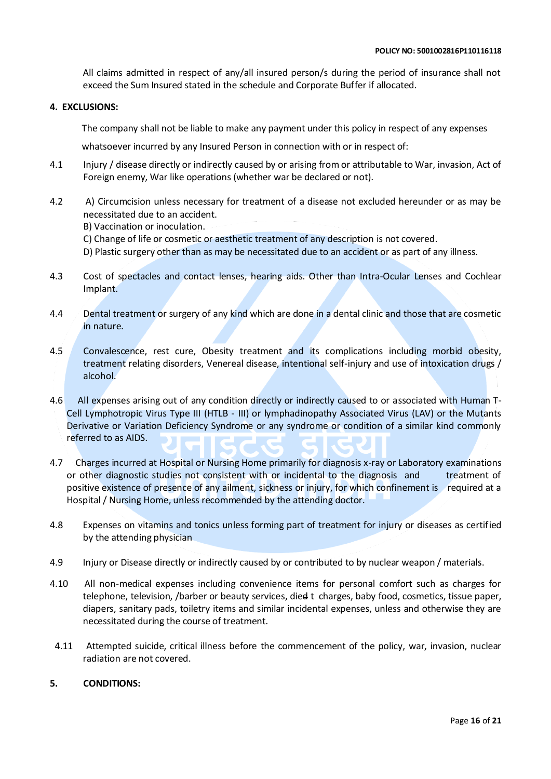All claims admitted in respect of any/all insured person/s during the period of insurance shall not exceed the Sum Insured stated in the schedule and Corporate Buffer if allocated.

### **4. EXCLUSIONS:**

The company shall not be liable to make any payment under this policy in respect of any expenses

whatsoever incurred by any Insured Person in connection with or in respect of:

- 4.1 Injury / disease directly or indirectly caused by or arising from or attributable to War, invasion, Act of Foreign enemy, War like operations (whether war be declared or not).
- 4.2 A) Circumcision unless necessary for treatment of a disease not excluded hereunder or as may be necessitated due to an accident.
	- B) Vaccination or inoculation.
	- C) Change of life or cosmetic or aesthetic treatment of any description is not covered.
	- D) Plastic surgery other than as may be necessitated due to an accident or as part of any illness.
- 4.3 Cost of spectacles and contact lenses, hearing aids. Other than Intra-Ocular Lenses and Cochlear Implant.
- 4.4 Dental treatment or surgery of any kind which are done in a dental clinic and those that are cosmetic in nature.
- 4.5 Convalescence, rest cure, Obesity treatment and its complications including morbid obesity, treatment relating disorders, Venereal disease, intentional self-injury and use of intoxication drugs / alcohol.
- 4.6 All expenses arising out of any condition directly or indirectly caused to or associated with Human T-Cell Lymphotropic Virus Type III (HTLB - III) or lymphadinopathy Associated Virus (LAV) or the Mutants Derivative or Variation Deficiency Syndrome or any syndrome or condition of a similar kind commonly referred to as AIDS.
- 4.7 Charges incurred at Hospital or Nursing Home primarily for diagnosis x-ray or Laboratory examinations or other diagnostic studies not consistent with or incidental to the diagnosis and treatment of positive existence of presence of any ailment, sickness or injury, for which confinement is required at a Hospital / Nursing Home, unless recommended by the attending doctor.
- 4.8 Expenses on vitamins and tonics unless forming part of treatment for injury or diseases as certified by the attending physician
- 4.9 Injury or Disease directly or indirectly caused by or contributed to by nuclear weapon / materials.
- 4.10 All non-medical expenses including convenience items for personal comfort such as charges for telephone, television, /barber or beauty services, died t charges, baby food, cosmetics, tissue paper, diapers, sanitary pads, toiletry items and similar incidental expenses, unless and otherwise they are necessitated during the course of treatment.
- 4.11 Attempted suicide, critical illness before the commencement of the policy, war, invasion, nuclear radiation are not covered.

### **5. CONDITIONS:**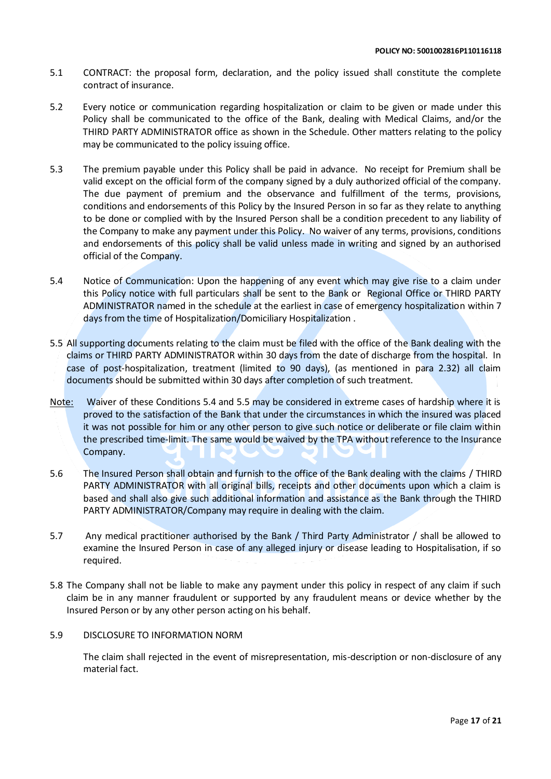- 5.1 CONTRACT: the proposal form, declaration, and the policy issued shall constitute the complete contract of insurance.
- 5.2 Every notice or communication regarding hospitalization or claim to be given or made under this Policy shall be communicated to the office of the Bank, dealing with Medical Claims, and/or the THIRD PARTY ADMINISTRATOR office as shown in the Schedule. Other matters relating to the policy may be communicated to the policy issuing office.
- 5.3 The premium payable under this Policy shall be paid in advance. No receipt for Premium shall be valid except on the official form of the company signed by a duly authorized official of the company. The due payment of premium and the observance and fulfillment of the terms, provisions, conditions and endorsements of this Policy by the Insured Person in so far as they relate to anything to be done or complied with by the Insured Person shall be a condition precedent to any liability of the Company to make any payment under this Policy. No waiver of any terms, provisions, conditions and endorsements of this policy shall be valid unless made in writing and signed by an authorised official of the Company.
- 5.4 Notice of Communication: Upon the happening of any event which may give rise to a claim under this Policy notice with full particulars shall be sent to the Bank or Regional Office or THIRD PARTY ADMINISTRATOR named in the schedule at the earliest in case of emergency hospitalization within 7 days from the time of Hospitalization/Domiciliary Hospitalization .
- 5.5 All supporting documents relating to the claim must be filed with the office of the Bank dealing with the claims or THIRD PARTY ADMINISTRATOR within 30 days from the date of discharge from the hospital. In case of post-hospitalization, treatment (limited to 90 days), (as mentioned in para 2.32) all claim documents should be submitted within 30 days after completion of such treatment.
- Note: Waiver of these Conditions 5.4 and 5.5 may be considered in extreme cases of hardship where it is proved to the satisfaction of the Bank that under the circumstances in which the insured was placed it was not possible for him or any other person to give such notice or deliberate or file claim within the prescribed time-limit. The same would be waived by the TPA without reference to the Insurance Company.
- 5.6 The Insured Person shall obtain and furnish to the office of the Bank dealing with the claims / THIRD PARTY ADMINISTRATOR with all original bills, receipts and other documents upon which a claim is based and shall also give such additional information and assistance as the Bank through the THIRD PARTY ADMINISTRATOR/Company may require in dealing with the claim.
- 5.7 Any medical practitioner authorised by the Bank / Third Party Administrator / shall be allowed to examine the Insured Person in case of any alleged injury or disease leading to Hospitalisation, if so required.
- 5.8 The Company shall not be liable to make any payment under this policy in respect of any claim if such claim be in any manner fraudulent or supported by any fraudulent means or device whether by the Insured Person or by any other person acting on his behalf.

### 5.9 DISCLOSURE TO INFORMATION NORM

The claim shall rejected in the event of misrepresentation, mis-description or non-disclosure of any material fact.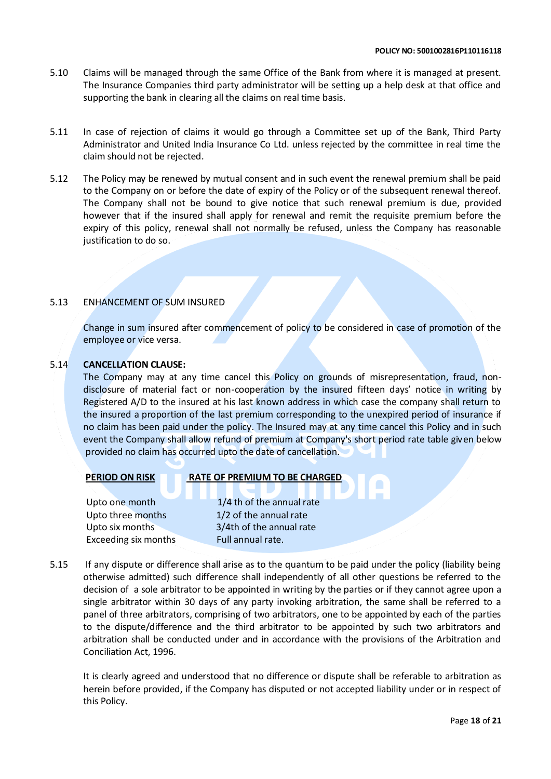- 5.10 Claims will be managed through the same Office of the Bank from where it is managed at present. The Insurance Companies third party administrator will be setting up a help desk at that office and supporting the bank in clearing all the claims on real time basis.
- 5.11 In case of rejection of claims it would go through a Committee set up of the Bank, Third Party Administrator and United India Insurance Co Ltd. unless rejected by the committee in real time the claim should not be rejected.
- 5.12 The Policy may be renewed by mutual consent and in such event the renewal premium shall be paid to the Company on or before the date of expiry of the Policy or of the subsequent renewal thereof. The Company shall not be bound to give notice that such renewal premium is due, provided however that if the insured shall apply for renewal and remit the requisite premium before the expiry of this policy, renewal shall not normally be refused, unless the Company has reasonable justification to do so.

### 5.13 ENHANCEMENT OF SUM INSURED

Change in sum insured after commencement of policy to be considered in case of promotion of the employee or vice versa.

### 5.14 **CANCELLATION CLAUSE:**

The Company may at any time cancel this Policy on grounds of misrepresentation, fraud, nondisclosure of material fact or non-cooperation by the insured fifteen days' notice in writing by Registered A/D to the insured at his last known address in which case the company shall return to the insured a proportion of the last premium corresponding to the unexpired period of insurance if no claim has been paid under the policy. The Insured may at any time cancel this Policy and in such event the Company shall allow refund of premium at Company's short period rate table given below provided no claim has occurred upto the date of cancellation.

### **PERIOD ON RISK RATE OF PREMIUM TO BE CHARGED**

Upto three months 1/2 of the annual rate

Upto one month  $1/4$  th of the annual rate

 Upto six months 3/4th of the annual rate Exceeding six months Full annual rate.

5.15 If any dispute or difference shall arise as to the quantum to be paid under the policy (liability being otherwise admitted) such difference shall independently of all other questions be referred to the decision of a sole arbitrator to be appointed in writing by the parties or if they cannot agree upon a single arbitrator within 30 days of any party invoking arbitration, the same shall be referred to a panel of three arbitrators, comprising of two arbitrators, one to be appointed by each of the parties to the dispute/difference and the third arbitrator to be appointed by such two arbitrators and arbitration shall be conducted under and in accordance with the provisions of the Arbitration and Conciliation Act, 1996.

It is clearly agreed and understood that no difference or dispute shall be referable to arbitration as herein before provided, if the Company has disputed or not accepted liability under or in respect of this Policy.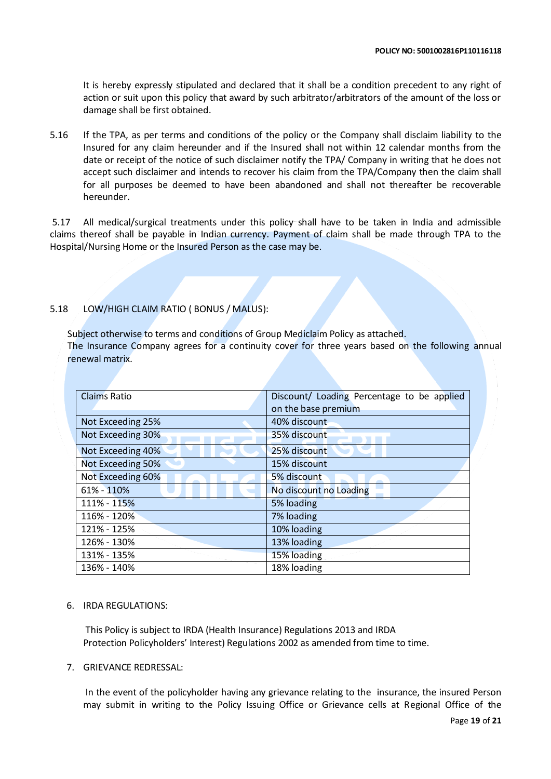It is hereby expressly stipulated and declared that it shall be a condition precedent to any right of action or suit upon this policy that award by such arbitrator/arbitrators of the amount of the loss or damage shall be first obtained.

5.16 If the TPA, as per terms and conditions of the policy or the Company shall disclaim liability to the Insured for any claim hereunder and if the Insured shall not within 12 calendar months from the date or receipt of the notice of such disclaimer notify the TPA/ Company in writing that he does not accept such disclaimer and intends to recover his claim from the TPA/Company then the claim shall for all purposes be deemed to have been abandoned and shall not thereafter be recoverable hereunder.

5.17 All medical/surgical treatments under this policy shall have to be taken in India and admissible claims thereof shall be payable in Indian currency. Payment of claim shall be made through TPA to the Hospital/Nursing Home or the Insured Person as the case may be.

### 5.18 LOW/HIGH CLAIM RATIO ( BONUS / MALUS):

Subject otherwise to terms and conditions of Group Mediclaim Policy as attached.

The Insurance Company agrees for a continuity cover for three years based on the following annual renewal matrix.

| <b>Claims Ratio</b> | Discount/ Loading Percentage to be applied |  |  |
|---------------------|--------------------------------------------|--|--|
|                     | on the base premium                        |  |  |
| Not Exceeding 25%   | 40% discount                               |  |  |
| Not Exceeding 30%   | 35% discount                               |  |  |
| Not Exceeding 40%   | 25% discount                               |  |  |
| Not Exceeding 50%   | 15% discount                               |  |  |
| Not Exceeding 60%   | 5% discount                                |  |  |
| 61% - 110%          | No discount no Loading                     |  |  |
| 111% - 115%         | 5% loading                                 |  |  |
| 116% - 120%         | 7% loading                                 |  |  |
| 121% - 125%         | 10% loading                                |  |  |
| 126% - 130%         | 13% loading                                |  |  |
| 131% - 135%         | 15% loading                                |  |  |
| 136% - 140%         | 18% loading                                |  |  |

### 6. IRDA REGULATIONS:

This Policy is subject to IRDA (Health Insurance) Regulations 2013 and IRDA Protection Policyholders' Interest) Regulations 2002 as amended from time to time.

### 7. GRIEVANCE REDRESSAL:

In the event of the policyholder having any grievance relating to the insurance, the insured Person may submit in writing to the Policy Issuing Office or Grievance cells at Regional Office of the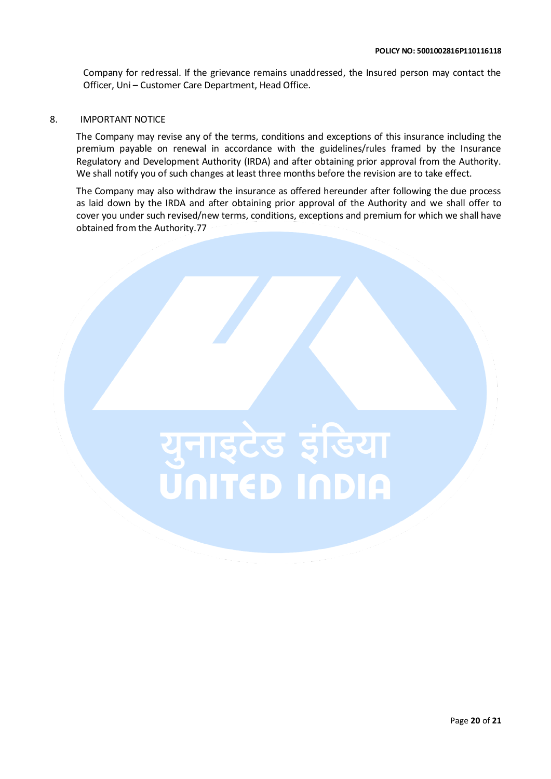Company for redressal. If the grievance remains unaddressed, the Insured person may contact the Officer, Uni – Customer Care Department, Head Office.

### 8. IMPORTANT NOTICE

The Company may revise any of the terms, conditions and exceptions of this insurance including the premium payable on renewal in accordance with the guidelines/rules framed by the Insurance Regulatory and Development Authority (IRDA) and after obtaining prior approval from the Authority. We shall notify you of such changes at least three months before the revision are to take effect.

The Company may also withdraw the insurance as offered hereunder after following the due process as laid down by the IRDA and after obtaining prior approval of the Authority and we shall offer to cover you under such revised/new terms, conditions, exceptions and premium for which we shall have obtained from the Authority.77

# युनाइटेड इंडिया<br><mark>Uniteb inbia</mark>